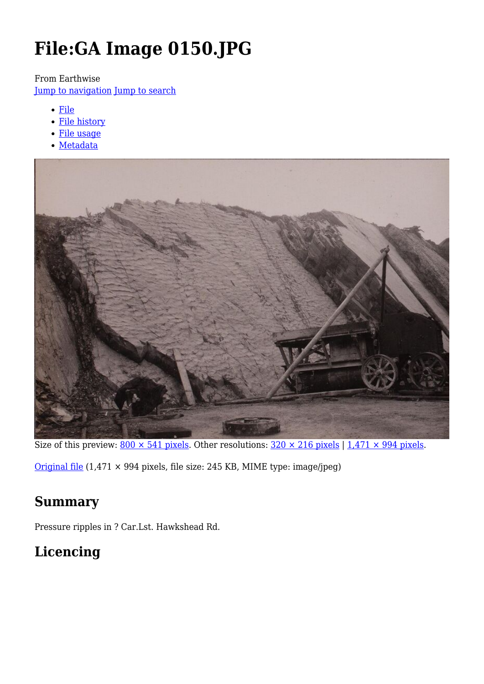# **File:GA Image 0150.JPG**

From Earthwise

[Jump to navigation](#page--1-0) [Jump to search](#page--1-0)

- [File](#page--1-0)
- [File history](#page--1-0)
- [File usage](#page--1-0)
- [Metadata](#page--1-0)



Size of this preview:  $800 \times 541$  pixels. Other resolutions:  $320 \times 216$  pixels |  $1,471 \times 994$  pixels.

[Original file](http://earthwise.bgs.ac.uk/images/0/09/GA_Image_0150.JPG) (1,471 × 994 pixels, file size: 245 KB, MIME type: image/jpeg)

### **Summary**

Pressure ripples in ? Car.Lst. Hawkshead Rd.

# **Licencing**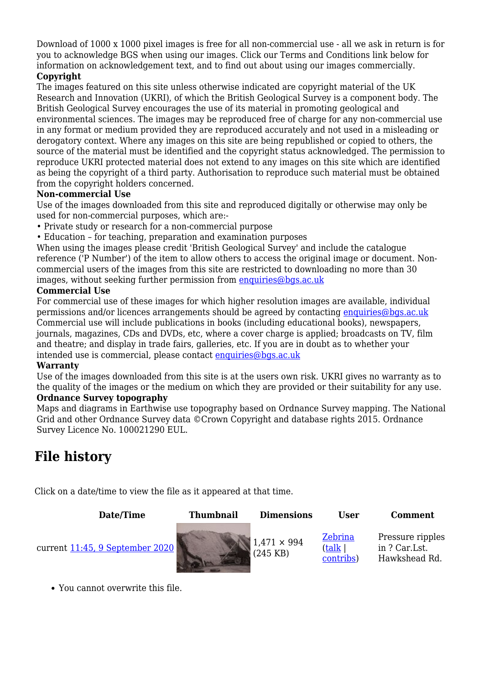Download of 1000 x 1000 pixel images is free for all non-commercial use - all we ask in return is for you to acknowledge BGS when using our images. Click our Terms and Conditions link below for information on acknowledgement text, and to find out about using our images commercially.

#### **Copyright**

The images featured on this site unless otherwise indicated are copyright material of the UK Research and Innovation (UKRI), of which the British Geological Survey is a component body. The British Geological Survey encourages the use of its material in promoting geological and environmental sciences. The images may be reproduced free of charge for any non-commercial use in any format or medium provided they are reproduced accurately and not used in a misleading or derogatory context. Where any images on this site are being republished or copied to others, the source of the material must be identified and the copyright status acknowledged. The permission to reproduce UKRI protected material does not extend to any images on this site which are identified as being the copyright of a third party. Authorisation to reproduce such material must be obtained from the copyright holders concerned.

#### **Non-commercial Use**

Use of the images downloaded from this site and reproduced digitally or otherwise may only be used for non-commercial purposes, which are:-

- Private study or research for a non-commercial purpose
- Education for teaching, preparation and examination purposes

When using the images please credit 'British Geological Survey' and include the catalogue reference ('P Number') of the item to allow others to access the original image or document. Noncommercial users of the images from this site are restricted to downloading no more than 30 images, without seeking further permission from [enquiries@bgs.ac.uk](mailto:enquiries@bgs.ac.uk)

#### **Commercial Use**

For commercial use of these images for which higher resolution images are available, individual permissions and/or licences arrangements should be agreed by contacting [enquiries@bgs.ac.uk](mailto:enquiries@bgs.ac.uk) Commercial use will include publications in books (including educational books), newspapers, journals, magazines, CDs and DVDs, etc, where a cover charge is applied; broadcasts on TV, film and theatre; and display in trade fairs, galleries, etc. If you are in doubt as to whether your intended use is commercial, please contact [enquiries@bgs.ac.uk](mailto:enquiries@bgs.ac.uk)

#### **Warranty**

Use of the images downloaded from this site is at the users own risk. UKRI gives no warranty as to the quality of the images or the medium on which they are provided or their suitability for any use. **Ordnance Survey topography**

Maps and diagrams in Earthwise use topography based on Ordnance Survey mapping. The National Grid and other Ordnance Survey data ©Crown Copyright and database rights 2015. Ordnance Survey Licence No. 100021290 EUL.

### **File history**

Click on a date/time to view the file as it appeared at that time.

| Date/Time                       | <b>Thumbnail</b> | <b>Dimensions</b>                | User                                   | <b>Comment</b>                                     |
|---------------------------------|------------------|----------------------------------|----------------------------------------|----------------------------------------------------|
| current 11:45, 9 September 2020 |                  | $1,471 \times 994$<br>$(245$ KB) | Zebrina<br><u>(talk</u>  <br>contribs) | Pressure ripples<br>in ? Car.Lst.<br>Hawkshead Rd. |

You cannot overwrite this file.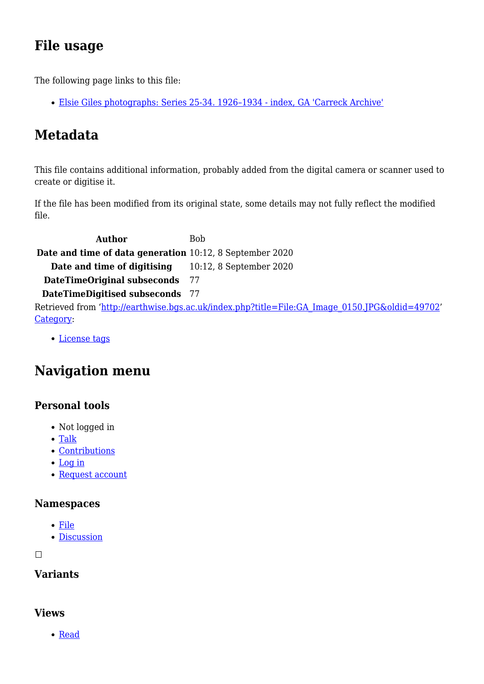# **File usage**

The following page links to this file:

[Elsie Giles photographs: Series 25-34. 1926–1934 - index, GA 'Carreck Archive'](http://earthwise.bgs.ac.uk/index.php/Elsie_Giles_photographs:_Series_25-34._1926%E2%80%931934_-_index,_GA_%27Carreck_Archive%27)

# **Metadata**

This file contains additional information, probably added from the digital camera or scanner used to create or digitise it.

If the file has been modified from its original state, some details may not fully reflect the modified file.

**Author** Bob **Date and time of data generation** 10:12, 8 September 2020 **Date and time of digitising** 10:12, 8 September 2020 **DateTimeOriginal subseconds** 77 **DateTimeDigitised subseconds** 77 Retrieved from ['http://earthwise.bgs.ac.uk/index.php?title=File:GA\\_Image\\_0150.JPG&oldid=49702](http://earthwise.bgs.ac.uk/index.php?title=File:GA_Image_0150.JPG&oldid=49702)' [Category](http://earthwise.bgs.ac.uk/index.php/Special:Categories):

[License tags](http://earthwise.bgs.ac.uk/index.php/Category:License_tags)

# **Navigation menu**

### **Personal tools**

- Not logged in
- [Talk](http://earthwise.bgs.ac.uk/index.php/Special:MyTalk)
- [Contributions](http://earthwise.bgs.ac.uk/index.php/Special:MyContributions)
- [Log in](http://earthwise.bgs.ac.uk/index.php?title=Special:UserLogin&returnto=File%3AGA+Image+0150.JPG&returntoquery=action%3Dmpdf)
- [Request account](http://earthwise.bgs.ac.uk/index.php/Special:RequestAccount)

### **Namespaces**

- [File](http://earthwise.bgs.ac.uk/index.php/File:GA_Image_0150.JPG)
- [Discussion](http://earthwise.bgs.ac.uk/index.php?title=File_talk:GA_Image_0150.JPG&action=edit&redlink=1)

 $\Box$ 

### **Variants**

### **Views**

• [Read](http://earthwise.bgs.ac.uk/index.php/File:GA_Image_0150.JPG)